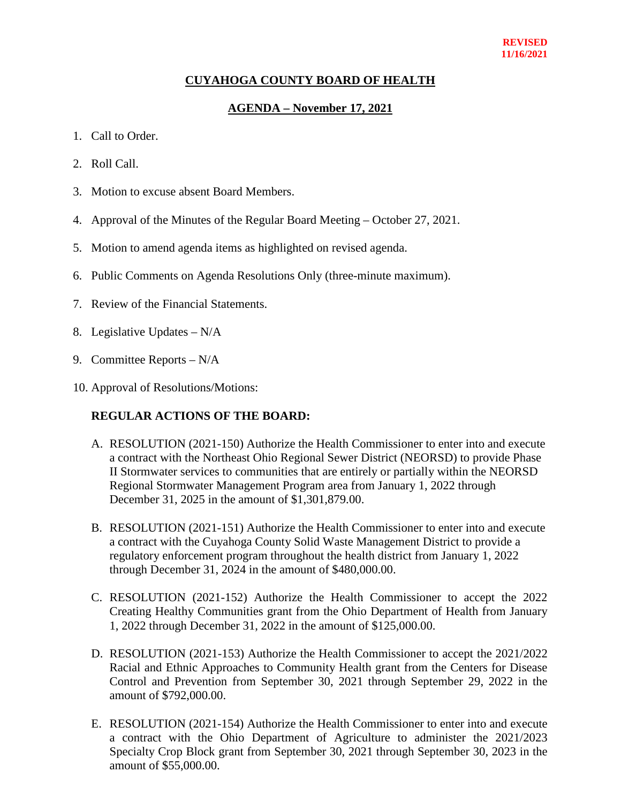## **CUYAHOGA COUNTY BOARD OF HEALTH**

## **AGENDA – November 17, 2021**

- 1. Call to Order.
- 2. Roll Call.
- 3. Motion to excuse absent Board Members.
- 4. Approval of the Minutes of the Regular Board Meeting October 27, 2021.
- 5. Motion to amend agenda items as highlighted on revised agenda.
- 6. Public Comments on Agenda Resolutions Only (three-minute maximum).
- 7. Review of the Financial Statements.
- 8. Legislative Updates N/A
- 9. Committee Reports N/A
- 10. Approval of Resolutions/Motions:

## **REGULAR ACTIONS OF THE BOARD:**

- A. RESOLUTION (2021-150) Authorize the Health Commissioner to enter into and execute a contract with the Northeast Ohio Regional Sewer District (NEORSD) to provide Phase II Stormwater services to communities that are entirely or partially within the NEORSD Regional Stormwater Management Program area from January 1, 2022 through December 31, 2025 in the amount of \$1,301,879.00.
- B. RESOLUTION (2021-151) Authorize the Health Commissioner to enter into and execute a contract with the Cuyahoga County Solid Waste Management District to provide a regulatory enforcement program throughout the health district from January 1, 2022 through December 31, 2024 in the amount of \$480,000.00.
- C. RESOLUTION (2021-152) Authorize the Health Commissioner to accept the 2022 Creating Healthy Communities grant from the Ohio Department of Health from January 1, 2022 through December 31, 2022 in the amount of \$125,000.00.
- D. RESOLUTION (2021-153) Authorize the Health Commissioner to accept the 2021/2022 Racial and Ethnic Approaches to Community Health grant from the Centers for Disease Control and Prevention from September 30, 2021 through September 29, 2022 in the amount of \$792,000.00.
- E. RESOLUTION (2021-154) Authorize the Health Commissioner to enter into and execute a contract with the Ohio Department of Agriculture to administer the 2021/2023 Specialty Crop Block grant from September 30, 2021 through September 30, 2023 in the amount of \$55,000.00.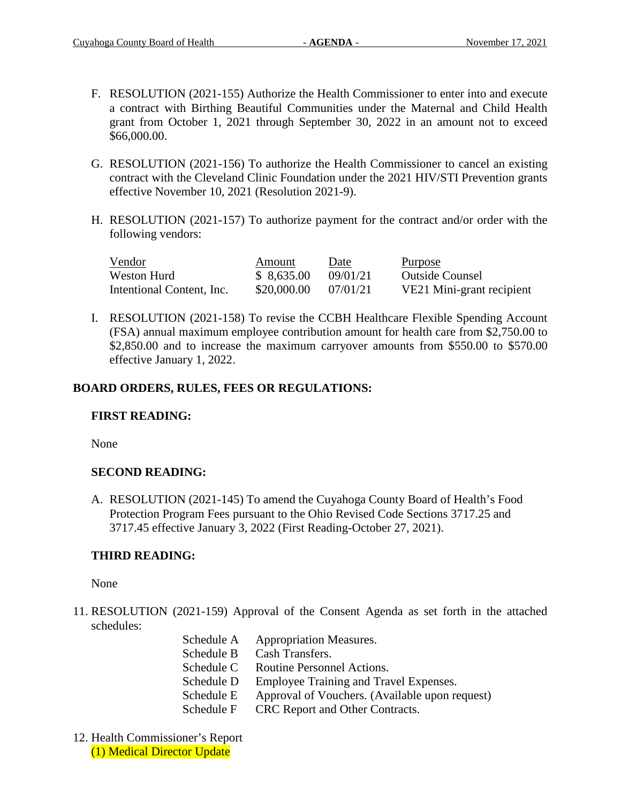- F. RESOLUTION (2021-155) Authorize the Health Commissioner to enter into and execute a contract with Birthing Beautiful Communities under the Maternal and Child Health grant from October 1, 2021 through September 30, 2022 in an amount not to exceed \$66,000.00.
- G. RESOLUTION (2021-156) To authorize the Health Commissioner to cancel an existing contract with the Cleveland Clinic Foundation under the 2021 HIV/STI Prevention grants effective November 10, 2021 (Resolution 2021-9).
- H. RESOLUTION (2021-157) To authorize payment for the contract and/or order with the following vendors:

| Vendor                    | Amount      | Date     | Purpose                   |
|---------------------------|-------------|----------|---------------------------|
| Weston Hurd               | \$8,635.00  | 09/01/21 | <b>Outside Counsel</b>    |
| Intentional Content, Inc. | \$20,000.00 | 07/01/21 | VE21 Mini-grant recipient |

I. RESOLUTION (2021-158) To revise the CCBH Healthcare Flexible Spending Account (FSA) annual maximum employee contribution amount for health care from \$2,750.00 to \$2,850.00 and to increase the maximum carryover amounts from \$550.00 to \$570.00 effective January 1, 2022.

# **BOARD ORDERS, RULES, FEES OR REGULATIONS:**

## **FIRST READING:**

None

## **SECOND READING:**

A. RESOLUTION (2021-145) To amend the Cuyahoga County Board of Health's Food Protection Program Fees pursuant to the Ohio Revised Code Sections 3717.25 and 3717.45 effective January 3, 2022 (First Reading-October 27, 2021).

# **THIRD READING:**

None

- 11. RESOLUTION (2021-159) Approval of the Consent Agenda as set forth in the attached schedules:
	- Schedule A Appropriation Measures. Schedule B Cash Transfers. Schedule C Routine Personnel Actions. Schedule D Employee Training and Travel Expenses. Schedule E Approval of Vouchers. (Available upon request) Schedule F CRC Report and Other Contracts.
- 12. Health Commissioner's Report (1) Medical Director Update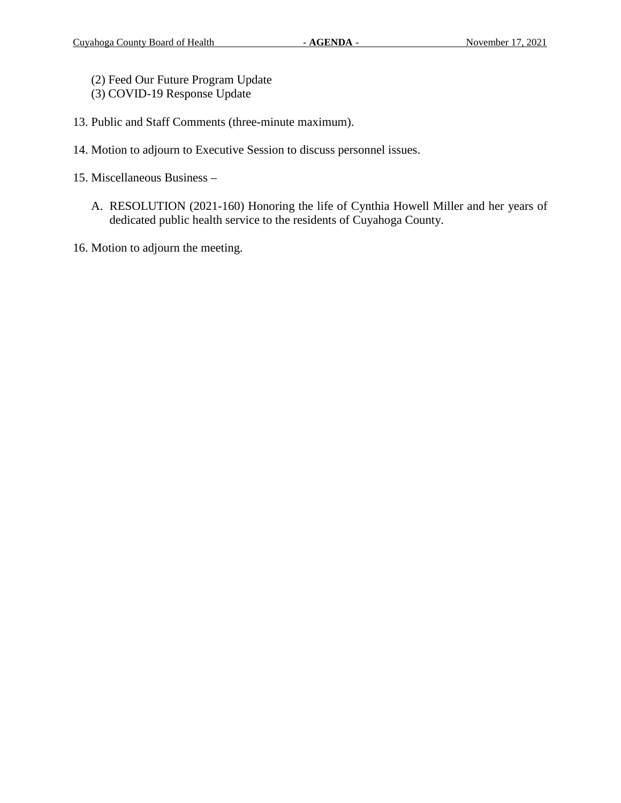- (2) Feed Our Future Program Update
- (3) COVID-19 Response Update
- 13. Public and Staff Comments (three-minute maximum).
- 14. Motion to adjourn to Executive Session to discuss personnel issues.
- 15. Miscellaneous Business
	- A. RESOLUTION (2021-160) Honoring the life of Cynthia Howell Miller and her years of dedicated public health service to the residents of Cuyahoga County.
- 16. Motion to adjourn the meeting.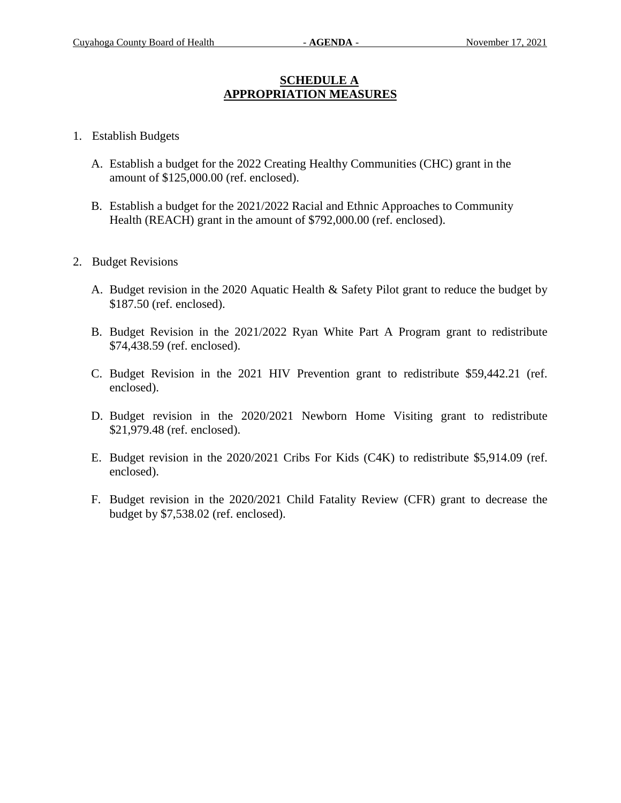## **SCHEDULE A APPROPRIATION MEASURES**

- 1. Establish Budgets
	- A. Establish a budget for the 2022 Creating Healthy Communities (CHC) grant in the amount of \$125,000.00 (ref. enclosed).
	- B. Establish a budget for the 2021/2022 Racial and Ethnic Approaches to Community Health (REACH) grant in the amount of \$792,000.00 (ref. enclosed).
- 2. Budget Revisions
	- A. Budget revision in the 2020 Aquatic Health & Safety Pilot grant to reduce the budget by \$187.50 (ref. enclosed).
	- B. Budget Revision in the 2021/2022 Ryan White Part A Program grant to redistribute \$74,438.59 (ref. enclosed).
	- C. Budget Revision in the 2021 HIV Prevention grant to redistribute \$59,442.21 (ref. enclosed).
	- D. Budget revision in the 2020/2021 Newborn Home Visiting grant to redistribute \$21,979.48 (ref. enclosed).
	- E. Budget revision in the 2020/2021 Cribs For Kids (C4K) to redistribute \$5,914.09 (ref. enclosed).
	- F. Budget revision in the 2020/2021 Child Fatality Review (CFR) grant to decrease the budget by \$7,538.02 (ref. enclosed).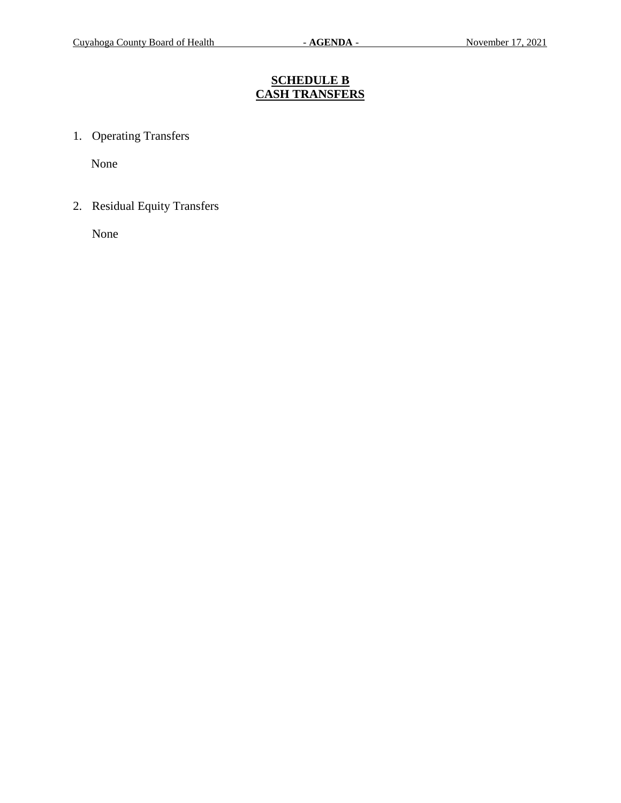# **SCHEDULE B CASH TRANSFERS**

1. Operating Transfers

None

2. Residual Equity Transfers

None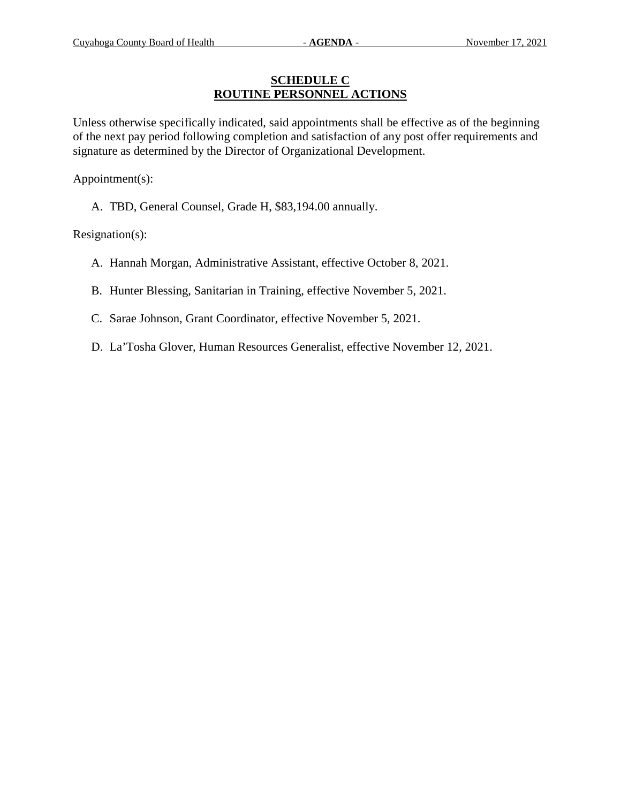### **SCHEDULE C ROUTINE PERSONNEL ACTIONS**

Unless otherwise specifically indicated, said appointments shall be effective as of the beginning of the next pay period following completion and satisfaction of any post offer requirements and signature as determined by the Director of Organizational Development.

Appointment(s):

A. TBD, General Counsel, Grade H, \$83,194.00 annually.

Resignation(s):

- A. Hannah Morgan, Administrative Assistant, effective October 8, 2021.
- B. Hunter Blessing, Sanitarian in Training, effective November 5, 2021.
- C. Sarae Johnson, Grant Coordinator, effective November 5, 2021.
- D. La'Tosha Glover, Human Resources Generalist, effective November 12, 2021.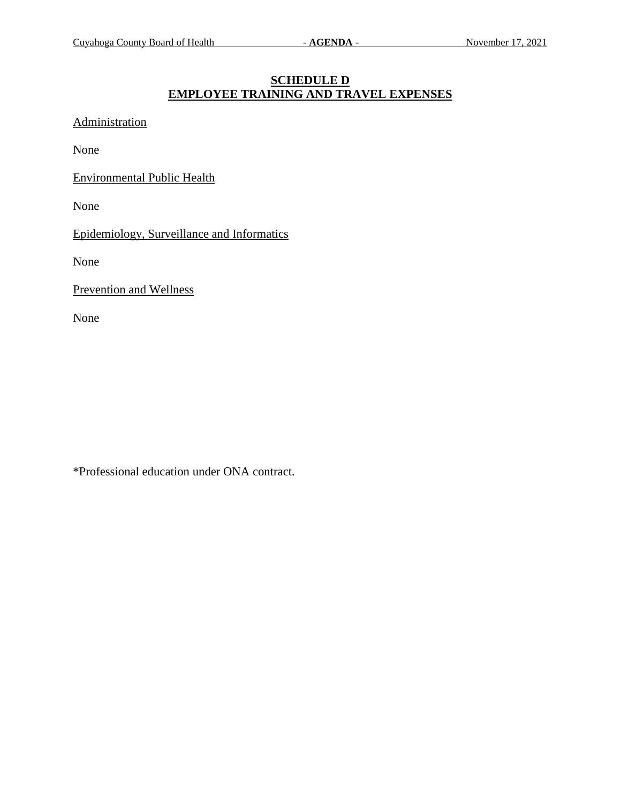## **SCHEDULE D EMPLOYEE TRAINING AND TRAVEL EXPENSES**

Administration

None

Environmental Public Health

None

Epidemiology, Surveillance and Informatics

None

Prevention and Wellness

None

\*Professional education under ONA contract.